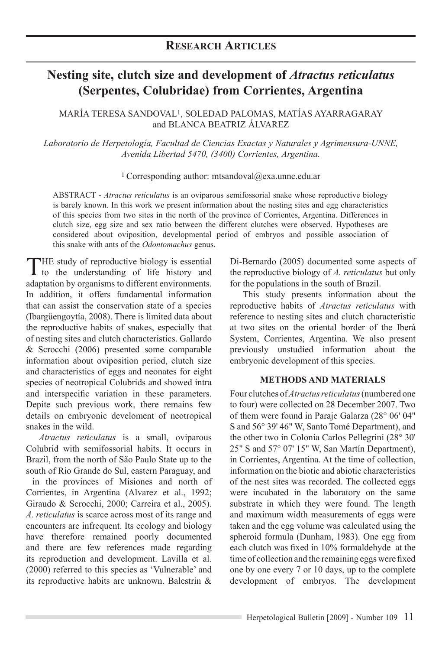# **Nesting site, clutch size and development of** *Atractus reticulatus* **(Serpentes, Colubridae) from Corrientes, Argentina**

María Teresa Sandoval1, Soledad Palomas, Matías Ayarragaray and Blanca Beatriz Álvarez

*Laboratorio de Herpetología, Facultad de Ciencias Exactas y Naturales y Agrimensura-UNNE, Avenida Libertad 5470, (3400) Corrientes, Argentina.* 

1 Corresponding author: mtsandoval@exa.unne.edu.ar

ABSTRACT - *Atractus reticulatus* is an oviparous semifossorial snake whose reproductive biology is barely known. In this work we present information about the nesting sites and egg characteristics of this species from two sites in the north of the province of Corrientes, Argentina. Differences in clutch size, egg size and sex ratio between the different clutches were observed. Hypotheses are considered about oviposition, developmental period of embryos and possible association of this snake with ants of the *Odontomachus* genus.

THE study of reproductive biology is essential<br>to the understanding of life history and adaptation by organisms to different environments. In addition, it offers fundamental information that can assist the conservation state of a species (Ibargüengoytía, 2008). There is limited data about the reproductive habits of snakes, especially that of nesting sites and clutch characteristics. Gallardo & Scrocchi (2006) presented some comparable information about oviposition period, clutch size and characteristics of eggs and neonates for eight species of neotropical Colubrids and showed intra and interspecific variation in these parameters. Depite such previous work, there remains few details on embryonic develoment of neotropical snakes in the wild.

*Atractus reticulatus* is a small, oviparous Colubrid with semifossorial habits. It occurs in Brazil, from the north of São Paulo State up to the south of Rio Grande do Sul, eastern Paraguay, and in the provinces of Misiones and north of Corrientes, in Argentina (Alvarez et al., 1992; Giraudo & Scrocchi, 2000; Carreira et al., 2005). *A. reticulatus* is scarce across most of its range and encounters are infrequent. Its ecology and biology have therefore remained poorly documented and there are few references made regarding its reproduction and development. Lavilla et al. (2000) referred to this species as 'Vulnerable' and its reproductive habits are unknown. Balestrin &

Di-Bernardo (2005) documented some aspects of the reproductive biology of *A. reticulatus* but only for the populations in the south of Brazil.

This study presents information about the reproductive habits of *Atractus reticulatus* with reference to nesting sites and clutch characteristic at two sites on the oriental border of the Iberá System, Corrientes, Argentina. We also present previously unstudied information about the embryonic development of this species.

## **METHODS AND MATERIALS**

Four clutches of *Atractus reticulatus* (numbered one to four) were collected on 28 December 2007. Two of them were found in Paraje Galarza (28° 06' 04" S and 56° 39' 46" W, Santo Tomé Department), and the other two in Colonia Carlos Pellegrini (28° 30' 25" S and 57° 07' 15" W, San Martín Department), in Corrientes, Argentina. At the time of collection, information on the biotic and abiotic characteristics of the nest sites was recorded. The collected eggs were incubated in the laboratory on the same substrate in which they were found. The length and maximum width measurements of eggs were taken and the egg volume was calculated using the spheroid formula (Dunham, 1983). One egg from each clutch was fixed in 10% formaldehyde at the time of collection and the remaining eggs were fixed one by one every 7 or 10 days, up to the complete development of embryos. The development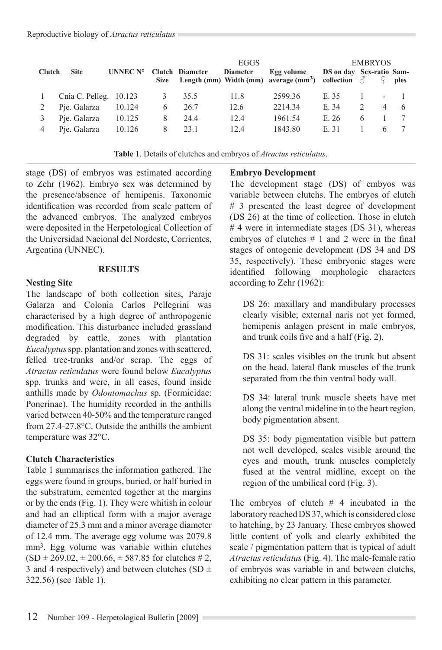| <b>Clutch</b> | <b>Site</b>            | UNNEC N° |   | <b>Clutch Diameter</b> | <b>EGGS</b><br><b>Diameter</b> | Egg volume<br>Size Length (mm) Width (mm) average (mm <sup>3</sup> ) collection $\delta$ $\varphi$ ples | DS on day Sex-ratio Sam- | <b>EMBRYOS</b> |                |     |
|---------------|------------------------|----------|---|------------------------|--------------------------------|---------------------------------------------------------------------------------------------------------|--------------------------|----------------|----------------|-----|
|               | Cnia C. Pelleg. 10.123 |          | 3 | 35.5                   | 11.8                           | 2599.36                                                                                                 | E. 35                    |                |                |     |
|               | Pie. Galarza           | 10.124   | 6 | 26.7                   | 12.6                           | 2214.34                                                                                                 | E. 34                    |                | $\overline{4}$ | - 6 |
|               | Pie. Galarza           | 10.125   | 8 | 24.4                   | 12.4                           | 1961.54                                                                                                 | E.26                     | 6              |                |     |
|               | Pie. Galarza           | 10.126   | 8 | 23.1                   | 12.4                           | 1843.80                                                                                                 | E. 31                    |                |                |     |

**Table 1**. Details of clutches and embryos of *Atractus reticulatus*.

stage (DS) of embryos was estimated according to Zehr (1962). Embryo sex was determined by the presence/absence of hemipenis. Taxonomic identification was recorded from scale pattern of the advanced embryos. The analyzed embryos were deposited in the Herpetological Collection of the Universidad Nacional del Nordeste, Corrientes, Argentina (UNNEC).

#### **RESULTS**

#### **Nesting Site**

The landscape of both collection sites, Paraje Galarza and Colonia Carlos Pellegrini was characterised by a high degree of anthropogenic modification. This disturbance included grassland degraded by cattle, zones with plantation *Eucalyptus* spp. plantation and zones with scattered, felled tree-trunks and/or scrap. The eggs of *Atractus reticulatus* were found below *Eucalyptus* spp. trunks and were, in all cases, found inside anthills made by *Odontomachus* sp. (Formicidae: Ponerinae). The humidity recorded in the anthills varied between 40-50% and the temperature ranged from 27.4-27.8°C. Outside the anthills the ambient temperature was 32°C.

#### **Clutch Characteristics**

Table 1 summarises the information gathered. The eggs were found in groups, buried, or half buried in the substratum, cemented together at the margins or by the ends (Fig. 1). They were whitish in colour and had an elliptical form with a major average diameter of 25.3 mm and a minor average diameter of 12.4 mm. The average egg volume was 2079.8 mm3. Egg volume was variable within clutches  $(SD \pm 269.02, \pm 200.66, \pm 587.85$  for clutches # 2, 3 and 4 respectively) and between clutches (SD  $\pm$ 322.56) (see Table 1).

#### **Embryo Development**

The development stage (DS) of embyos was variable between clutchs. The embryos of clutch # 3 presented the least degree of development (DS 26) at the time of collection. Those in clutch #4 were in intermediate stages (DS 31), whereas embryos of clutches  $# 1$  and 2 were in the final stages of ontogenic development (DS 34 and DS 35, respectively). These embryonic stages were identified following morphologic characters according to Zehr (1962):

DS 26: maxillary and mandibulary processes clearly visible; external naris not yet formed, hemipenis anlagen present in male embryos, and trunk coils five and a half (Fig. 2).

DS 31: scales visibles on the trunk but absent on the head, lateral flank muscles of the trunk separated from the thin ventral body wall.

DS 34: lateral trunk muscle sheets have met along the ventral mideline in to the heart region, body pigmentation absent.

DS 35: body pigmentation visible but pattern not well developed, scales visible around the eyes and mouth, trunk muscles completely fused at the ventral midline, except on the region of the umbilical cord (Fig. 3).

The embryos of clutch  $# 4$  incubated in the laboratory reached DS 37, which is considered close to hatching, by 23 January. These embryos showed little content of yolk and clearly exhibited the scale / pigmentation pattern that is typical of adult *Atractus reticulatus* (Fig. 4). The male-female ratio of embryos was variable in and between clutchs, exhibiting no clear pattern in this parameter.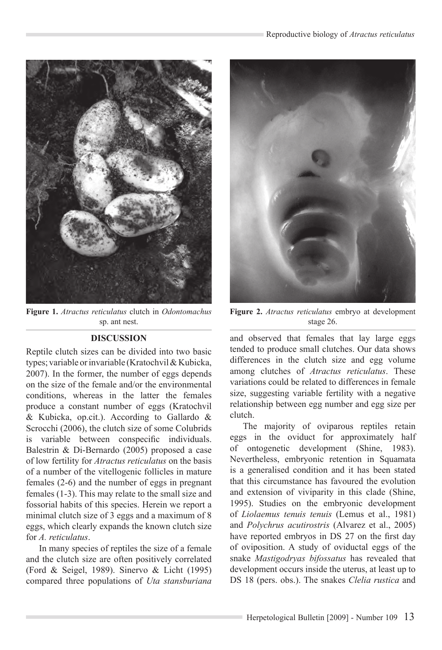

**Figure 1.** *Atractus reticulatus* clutch in *Odontomachus* sp. ant nest.

## **DISCUSSION**

Reptile clutch sizes can be divided into two basic types; variable or invariable (Kratochvil & Kubicka, 2007). In the former, the number of eggs depends on the size of the female and/or the environmental conditions, whereas in the latter the females produce a constant number of eggs (Kratochvil & Kubicka, op.cit.). According to Gallardo & Scrocchi (2006), the clutch size of some Colubrids is variable between conspecific individuals. Balestrin & Di-Bernardo (2005) proposed a case of low fertility for *Atractus reticulatus* on the basis of a number of the vitellogenic follicles in mature females (2-6) and the number of eggs in pregnant females (1-3). This may relate to the small size and fossorial habits of this species. Herein we report a minimal clutch size of 3 eggs and a maximum of 8 eggs, which clearly expands the known clutch size for *A. reticulatus*.

In many species of reptiles the size of a female and the clutch size are often positively correlated (Ford & Seigel, 1989). Sinervo & Licht (1995) compared three populations of *Uta stansburiana*



**Figure 2.** *Atractus reticulatus* embryo at development stage 26.

and observed that females that lay large eggs tended to produce small clutches. Our data shows differences in the clutch size and egg volume among clutches of *Atractus reticulatus*. These variations could be related to differences in female size, suggesting variable fertility with a negative relationship between egg number and egg size per clutch.

The majority of oviparous reptiles retain eggs in the oviduct for approximately half of ontogenetic development (Shine, 1983). Nevertheless, embryonic retention in Squamata is a generalised condition and it has been stated that this circumstance has favoured the evolution and extension of viviparity in this clade (Shine, 1995). Studies on the embryonic development of *Liolaemus tenuis tenuis* (Lemus et al., 1981) and *Polychrus acutirostris* (Alvarez et al., 2005) have reported embryos in DS 27 on the first day of oviposition. A study of oviductal eggs of the snake *Mastigodryas bifossatus* has revealed that development occurs inside the uterus, at least up to DS 18 (pers. obs.). The snakes *Clelia rustica* and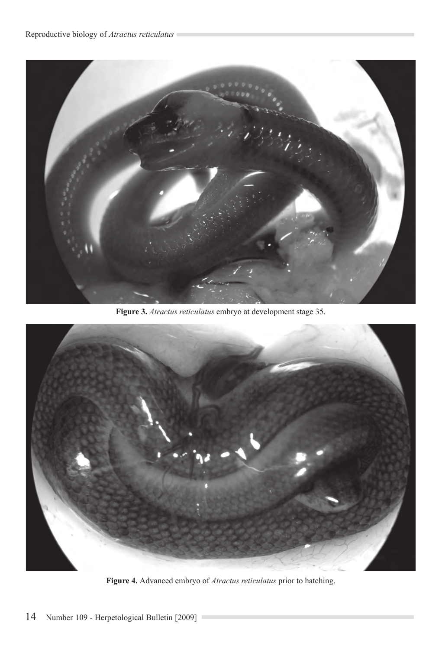

**Figure 3.** *Atractus reticulatus* embryo at development stage 35.



**Figure 4.** Advanced embryo of *Atractus reticulatus* prior to hatching.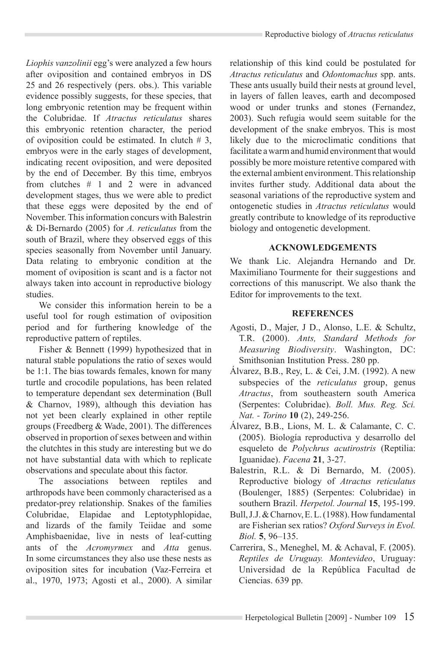*Liophis vanzolinii* egg's were analyzed a few hours after oviposition and contained embryos in DS 25 and 26 respectively (pers. obs.). This variable evidence possibly suggests, for these species, that long embryonic retention may be frequent within the Colubridae. If *Atractus reticulatus* shares this embryonic retention character, the period of oviposition could be estimated. In clutch  $# 3$ , embryos were in the early stages of development, indicating recent oviposition, and were deposited by the end of December. By this time, embryos from clutches # 1 and 2 were in advanced development stages, thus we were able to predict that these eggs were deposited by the end of November. This information concurs with Balestrin & Di-Bernardo (2005) for *A. reticulatus* from the south of Brazil, where they observed eggs of this species seasonally from November until January. Data relating to embryonic condition at the moment of oviposition is scant and is a factor not always taken into account in reproductive biology studies.

We consider this information herein to be a useful tool for rough estimation of oviposition period and for furthering knowledge of the reproductive pattern of reptiles.

Fisher & Bennett (1999) hypothesized that in natural stable populations the ratio of sexes would be 1:1. The bias towards females, known for many turtle and crocodile populations, has been related to temperature dependant sex determination (Bull & Charnov, 1989), although this deviation has not yet been clearly explained in other reptile groups (Freedberg & Wade, 2001). The differences observed in proportion of sexes between and within the clutchtes in this study are interesting but we do not have substantial data with which to replicate observations and speculate about this factor.

The associations between reptiles and arthropods have been commonly characterised as a predator-prey relationship. Snakes of the families Colubridae, Elapidae and Leptotyphlopidae, and lizards of the family Teiidae and some Amphisbaenidae, live in nests of leaf-cutting ants of the *Acromyrmex* and *Atta* genus. In some circumstances they also use these nests as oviposition sites for incubation (Vaz-Ferreira et al., 1970, 1973; Agosti et al., 2000). A similar relationship of this kind could be postulated for *Atractus reticulatus* and *Odontomachus* spp. ants. These ants usually build their nests at ground level, in layers of fallen leaves, earth and decomposed wood or under trunks and stones (Fernandez, 2003). Such refugia would seem suitable for the development of the snake embryos. This is most likely due to the microclimatic conditions that facilitate a warm and humid environment that would possibly be more moisture retentive compared with the external ambient environment. This relationship invites further study. Additional data about the seasonal variations of the reproductive system and ontogenetic studies in *Atractus reticulatus* would greatly contribute to knowledge of its reproductive biology and ontogenetic development.

## **ACKNOWLEDGEMENTS**

We thank Lic. Alejandra Hernando and Dr. Maximiliano Tourmente for their suggestions and corrections of this manuscript. We also thank the Editor for improvements to the text.

### **REFERENCES**

- Agosti, D., Majer, J D., Alonso, L.E. & Schultz, T.R. (2000). *Ants, Standard Methods for Measuring Biodiversity*. Washington, DC: Smithsonian Institution Press. 280 pp.
- Álvarez, B.B., Rey, L. & Cei, J.M. (1992). A new subspecies of the *reticulatus* group, genus *Atractus*, from southeastern south America (Serpentes: Colubridae). *Boll. Mus. Reg. Sci. Nat. - Torino* **10** (2), 249-256.
- Álvarez, B.B., Lions, M. L. & Calamante, C. C. (2005). Biología reproductiva y desarrollo del esqueleto de *Polychrus acutirostris* (Reptilia: Iguanidae). *Facena* **21**, 3-27.
- Balestrin, R.L. & Di Bernardo, M. (2005). Reproductive biology of *Atractus reticulatus* (Boulenger, 1885) (Serpentes: Colubridae) in southern Brazil. *Herpetol. Journal* **15**, 195-199.
- Bull, J.J. & Charnov, E. L. (1988). How fundamental are Fisherian sex ratios? *Oxford Surveys in Evol. Biol.* **5**, 96–135.
- Carrerira, S., Meneghel, M. & Achaval, F. (2005). *Reptiles de Uruguay. Montevideo*, Uruguay: Universidad de la República Facultad de Ciencias. 639 pp.